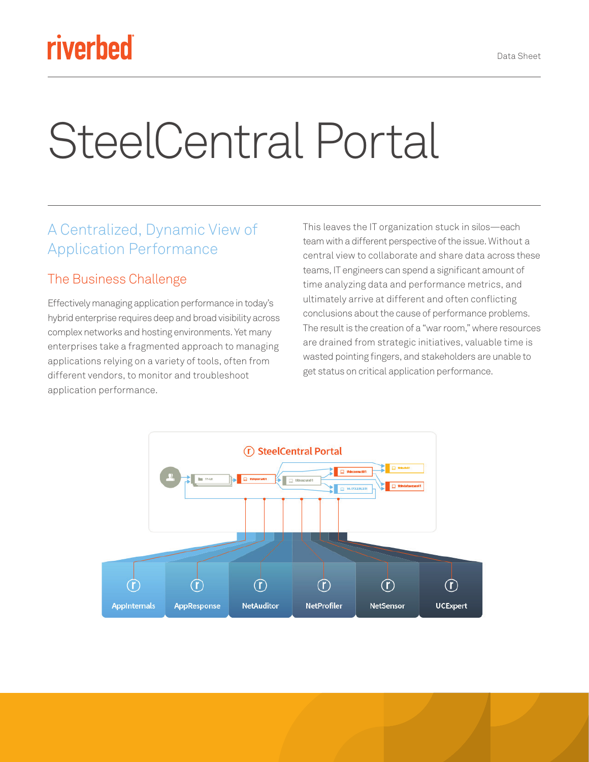## riverbed

# SteelCentral Portal

#### A Centralized, Dynamic View of Application Performance

#### The Business Challenge

Effectively managing application performance in today's hybrid enterprise requires deep and broad visibility across complex networks and hosting environments. Yet many enterprises take a fragmented approach to managing applications relying on a variety of tools, often from different vendors, to monitor and troubleshoot application performance.

This leaves the IT organization stuck in silos—each team with a different perspective of the issue. Without a central view to collaborate and share data across these teams, IT engineers can spend a significant amount of time analyzing data and performance metrics, and ultimately arrive at different and often conflicting conclusions about the cause of performance problems. The result is the creation of a "war room," where resources are drained from strategic initiatives, valuable time is wasted pointing fingers, and stakeholders are unable to get status on critical application performance.

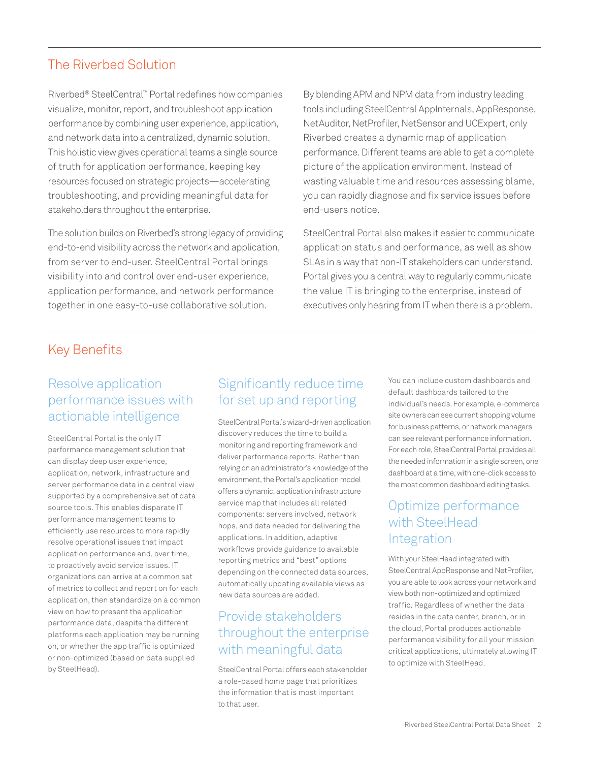#### The Riverbed Solution

Riverbed® SteelCentral™ Portal redefines how companies visualize, monitor, report, and troubleshoot application performance by combining user experience, application, and network data into a centralized, dynamic solution. This holistic view gives operational teams a single source of truth for application performance, keeping key resources focused on strategic projects—accelerating troubleshooting, and providing meaningful data for stakeholders throughout the enterprise.

The solution builds on Riverbed's strong legacy of providing end-to-end visibility across the network and application, from server to end-user. SteelCentral Portal brings visibility into and control over end-user experience, application performance, and network performance together in one easy-to-use collaborative solution.

By blending APM and NPM data from industry leading tools including SteelCentral AppInternals, AppResponse, NetAuditor, NetProfiler, NetSensor and UCExpert, only Riverbed creates a dynamic map of application performance. Different teams are able to get a complete picture of the application environment. Instead of wasting valuable time and resources assessing blame, you can rapidly diagnose and fix service issues before end-users notice.

SteelCentral Portal also makes it easier to communicate application status and performance, as well as show SLAs in a way that non-IT stakeholders can understand. Portal gives you a central way to regularly communicate the value IT is bringing to the enterprise, instead of executives only hearing from IT when there is a problem.

#### Key Benefits

#### Resolve application performance issues with actionable intelligence

SteelCentral Portal is the only IT performance management solution that can display deep user experience, application, network, infrastructure and server performance data in a central view supported by a comprehensive set of data source tools. This enables disparate IT performance management teams to efficiently use resources to more rapidly resolve operational issues that impact application performance and, over time, to proactively avoid service issues. IT organizations can arrive at a common set of metrics to collect and report on for each application, then standardize on a common view on how to present the application performance data, despite the different platforms each application may be running on, or whether the app traffic is optimized or non-optimized (based on data supplied by SteelHead).

#### Significantly reduce time for set up and reporting

SteelCentral Portal's wizard-driven application discovery reduces the time to build a monitoring and reporting framework and deliver performance reports. Rather than relying on an administrator's knowledge of the environment, the Portal's application model offers a dynamic, application infrastructure service map that includes all related components: servers involved, network hops, and data needed for delivering the applications. In addition, adaptive workflows provide guidance to available reporting metrics and "best" options depending on the connected data sources, automatically updating available views as new data sources are added.

#### Provide stakeholders throughout the enterprise with meaningful data

SteelCentral Portal offers each stakeholder a role-based home page that prioritizes the information that is most important to that user.

You can include custom dashboards and default dashboards tailored to the individual's needs. For example, e-commerce site owners can see current shopping volume for business patterns, or network managers can see relevant performance information. For each role, SteelCentral Portal provides all the needed information in a single screen, one dashboard at a time, with one-click access to the most common dashboard editing tasks.

#### Optimize performance with SteelHead Integration

With your SteelHead integrated with SteelCentral AppResponse and NetProfiler, you are able to look across your network and view both non-optimized and optimized traffic. Regardless of whether the data resides in the data center, branch, or in the cloud, Portal produces actionable performance visibility for all your mission critical applications, ultimately allowing IT to optimize with SteelHead.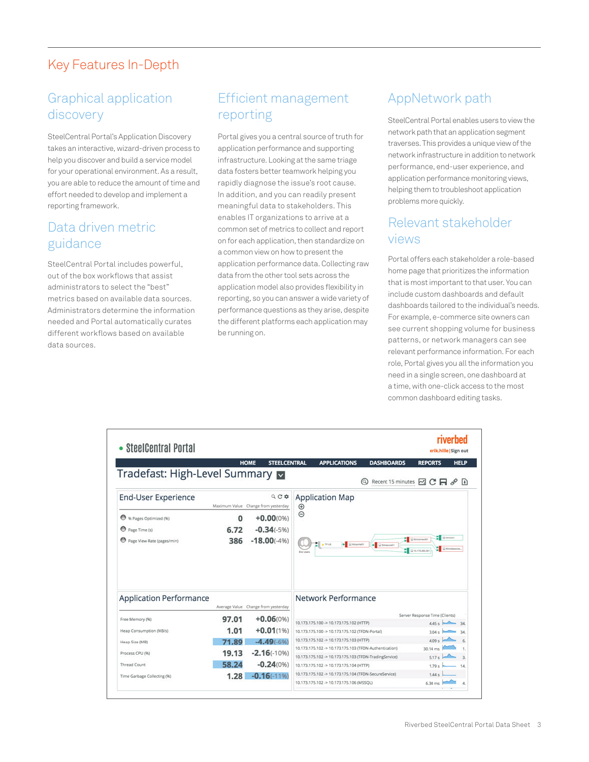#### Key Features In-Depth

#### Graphical application discovery

SteelCentral Portal's Application Discovery takes an interactive, wizard-driven process to help you discover and build a service model for your operational environment. As a result, you are able to reduce the amount of time and effort needed to develop and implement a reporting framework.

#### Data driven metric guidance

SteelCentral Portal includes powerful, out of the box workflows that assist administrators to select the "best" metrics based on available data sources. Administrators determine the information needed and Portal automatically curates different workflows based on available data sources.

#### Efficient management reporting

Portal gives you a central source of truth for application performance and supporting infrastructure. Looking at the same triage data fosters better teamwork helping you rapidly diagnose the issue's root cause. In addition, and you can readily present meaningful data to stakeholders. This enables IT organizations to arrive at a common set of metrics to collect and report on for each application, then standardize on a common view on how to present the application performance data. Collecting raw data from the other tool sets across the application model also provides flexibility in reporting, so you can answer a wide variety of performance questions as they arise, despite the different platforms each application may be running on.

#### AppNetwork path

SteelCentral Portal enables users to view the network path that an application segment traverses. This provides a unique view of the network infrastructure in addition to network performance, end-user experience, and application performance monitoring views, helping them to troubleshoot application problems more quickly.

#### Relevant stakeholder views

Portal offers each stakeholder a role-based home page that prioritizes the information that is most important to that user. You can include custom dashboards and default dashboards tailored to the individual's needs. For example, e-commerce site owners can see current shopping volume for business patterns, or network managers can see relevant performance information. For each role, Portal gives you all the information you need in a single screen, one dashboard at a time, with one-click access to the most common dashboard editing tasks.

| • SteelCentral Portal                                                    |                  |                                            |                                          |                                                                                                   |                             | erik.hille   Sign out                                 | riverbed        |
|--------------------------------------------------------------------------|------------------|--------------------------------------------|------------------------------------------|---------------------------------------------------------------------------------------------------|-----------------------------|-------------------------------------------------------|-----------------|
|                                                                          |                  | <b>STEELCENTRAL</b><br><b>HOME</b>         |                                          | <b>APPLICATIONS</b>                                                                               | <b>DASHBOARDS</b>           | <b>REPORTS</b>                                        | <b>HELP</b>     |
| Tradefast: High-Level Summary                                            |                  |                                            |                                          |                                                                                                   | Recent 15 minutes M C H & D |                                                       |                 |
| QCD<br><b>End-User Experience</b><br>Maximum Value Change from yesterday |                  |                                            | $^{\circledR}$                           | <b>Application Map</b>                                                                            |                             |                                                       |                 |
| % Pages Optimized (%)<br>Page Time (s)<br>Page View Rate (pages/min)     | O<br>6.72<br>386 | $+0.00(0%$<br>$-0.34(-5%)$<br>$-18.00(-4%$ | $\Theta$<br>$  $ , $v_{48}$<br>End Users | Distances                                                                                         | $\rightarrow$               | <b>E</b> Girlando<br>C Rimonwell<br>E @10.179.250.261 | C Entertainment |
| <b>Application Performance</b>                                           |                  | Average Value Change from yesterday        |                                          | Network Performance                                                                               |                             |                                                       |                 |
| Free Memory (%)                                                          | 97.01            | $+0.06(0%$                                 |                                          |                                                                                                   |                             | Server Response Time (Clients)                        |                 |
| Heap Consumption (MB/s)                                                  | 1.01             | $+0.01(1%)$                                |                                          | 10.173.175.100 -> 10.173.175.102 (HTTP)<br>10.173.175.100 -> 10.173.175.102 (TFDN-Portal)         |                             | 4.45 s<br>3.04 s                                      | 34<br>34        |
| Heap Size (MB)                                                           | 71.89            | $-4.49(-6%$                                |                                          | 10.173.175.102 -> 10.173.175.103 (HTTP)                                                           |                             | 4.09 <sub>5</sub>                                     | $\mathbf{f}_1$  |
|                                                                          |                  |                                            |                                          | 10.173.175.102 -> 10.173.175.103 (TFDN-Authentication)                                            |                             | 30.14 ms                                              |                 |
| Process CPU (%)                                                          | 19.13            | $-2.16(-10%)$                              |                                          | 10.173.175.102 -> 10.173.175.103 (TFDN-TradingService)                                            |                             | 5.17s                                                 | $\overline{3}$  |
| Thread Count                                                             | 58.24            | $-0.24(0%$                                 |                                          | 10.173.175.102 -> 10.173.175.104 (HTTP)                                                           |                             | 1.79 s                                                | 14              |
| Time Garbage Collecting (%)                                              | 1.28             | $-0.16(-1196)$                             |                                          | 10.173.175.102 -> 10.173.175.104 (TFDN-SecureService)<br>10.173.175.102 -> 10.173.175.106 (MSSQL) |                             | 1.44 s<br>6.34 ms                                     |                 |